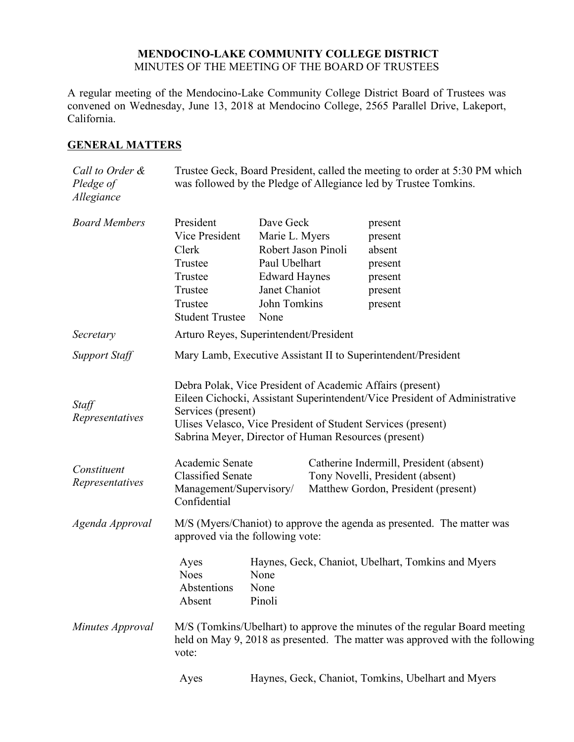## **MENDOCINO-LAKE COMMUNITY COLLEGE DISTRICT** MINUTES OF THE MEETING OF THE BOARD OF TRUSTEES

A regular meeting of the Mendocino-Lake Community College District Board of Trustees was convened on Wednesday, June 13, 2018 at Mendocino College, 2565 Parallel Drive, Lakeport, California.

# **GENERAL MATTERS**

| Call to Order &<br>Pledge of<br>Allegiance | Trustee Geck, Board President, called the meeting to order at 5:30 PM which<br>was followed by the Pledge of Allegiance led by Trustee Tomkins.                                                                                                                                       |                                                                                                                                      |  |                                                                                                                    |
|--------------------------------------------|---------------------------------------------------------------------------------------------------------------------------------------------------------------------------------------------------------------------------------------------------------------------------------------|--------------------------------------------------------------------------------------------------------------------------------------|--|--------------------------------------------------------------------------------------------------------------------|
| <b>Board Members</b>                       | President<br>Vice President<br>Clerk<br>Trustee<br>Trustee<br>Trustee<br>Trustee<br><b>Student Trustee</b>                                                                                                                                                                            | Dave Geck<br>Marie L. Myers<br>Robert Jason Pinoli<br>Paul Ubelhart<br><b>Edward Haynes</b><br>Janet Chaniot<br>John Tomkins<br>None |  | present<br>present<br>absent<br>present<br>present<br>present<br>present                                           |
| Secretary                                  | Arturo Reyes, Superintendent/President                                                                                                                                                                                                                                                |                                                                                                                                      |  |                                                                                                                    |
| <b>Support Staff</b>                       | Mary Lamb, Executive Assistant II to Superintendent/President                                                                                                                                                                                                                         |                                                                                                                                      |  |                                                                                                                    |
| Staff<br>Representatives                   | Debra Polak, Vice President of Academic Affairs (present)<br>Eileen Cichocki, Assistant Superintendent/Vice President of Administrative<br>Services (present)<br>Ulises Velasco, Vice President of Student Services (present)<br>Sabrina Meyer, Director of Human Resources (present) |                                                                                                                                      |  |                                                                                                                    |
| Constituent<br>Representatives             | Academic Senate<br><b>Classified Senate</b><br>Management/Supervisory/<br>Confidential                                                                                                                                                                                                |                                                                                                                                      |  | Catherine Indermill, President (absent)<br>Tony Novelli, President (absent)<br>Matthew Gordon, President (present) |
| Agenda Approval                            | M/S (Myers/Chaniot) to approve the agenda as presented. The matter was<br>approved via the following vote:                                                                                                                                                                            |                                                                                                                                      |  |                                                                                                                    |
|                                            | Ayes<br><b>Noes</b><br>Abstentions<br>Absent                                                                                                                                                                                                                                          | None<br>None<br>Pinoli                                                                                                               |  | Haynes, Geck, Chaniot, Ubelhart, Tomkins and Myers                                                                 |
| Minutes Approval                           | M/S (Tomkins/Ubelhart) to approve the minutes of the regular Board meeting<br>held on May 9, 2018 as presented. The matter was approved with the following<br>vote:                                                                                                                   |                                                                                                                                      |  |                                                                                                                    |
|                                            | Ayes                                                                                                                                                                                                                                                                                  |                                                                                                                                      |  | Haynes, Geck, Chaniot, Tomkins, Ubelhart and Myers                                                                 |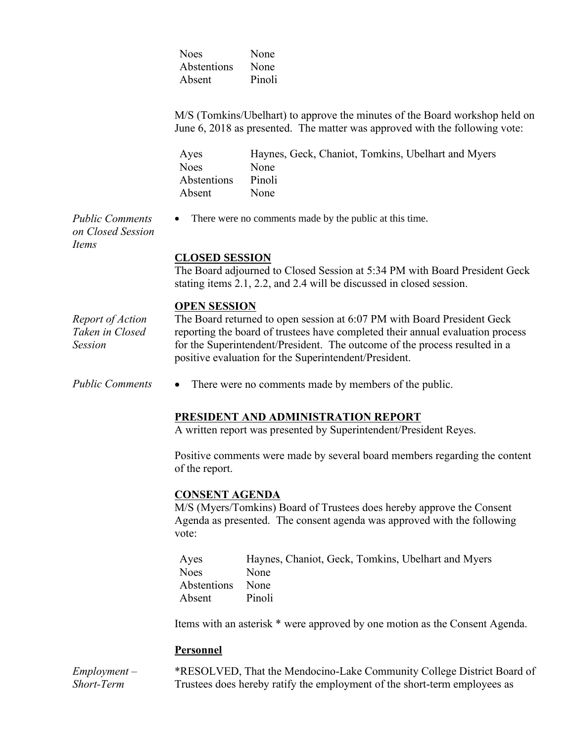Noes None Abstentions None Absent Pinoli

M/S (Tomkins/Ubelhart) to approve the minutes of the Board workshop held on June 6, 2018 as presented. The matter was approved with the following vote:

| Ayes        | Haynes, Geck, Chaniot, Tomkins, Ubelhart and Myers |
|-------------|----------------------------------------------------|
| <b>Noes</b> | None                                               |
| Abstentions | Pinoli                                             |
| Absent      | None                                               |

*Public Comments on Closed Session Items*

## • There were no comments made by the public at this time.

**CLOSED SESSION**

The Board adjourned to Closed Session at 5:34 PM with Board President Geck stating items 2.1, 2.2, and 2.4 will be discussed in closed session.

### **OPEN SESSION**

*Report of Action Taken in Closed Session* The Board returned to open session at 6:07 PM with Board President Geck reporting the board of trustees have completed their annual evaluation process for the Superintendent/President. The outcome of the process resulted in a positive evaluation for the Superintendent/President.

*Public Comments* • There were no comments made by members of the public.

## **PRESIDENT AND ADMINISTRATION REPORT**

A written report was presented by Superintendent/President Reyes.

Positive comments were made by several board members regarding the content of the report.

### **CONSENT AGENDA**

M/S (Myers/Tomkins) Board of Trustees does hereby approve the Consent Agenda as presented. The consent agenda was approved with the following vote:

| Ayes        | Haynes, Chaniot, Geck, Tomkins, Ubelhart and Myers |
|-------------|----------------------------------------------------|
| Noes        | None                                               |
| Abstentions | None                                               |
| Absent      | Pinoli                                             |

Items with an asterisk \* were approved by one motion as the Consent Agenda.

#### **Personnel**

*Employment – Short-Term*  \*RESOLVED, That the Mendocino-Lake Community College District Board of Trustees does hereby ratify the employment of the short-term employees as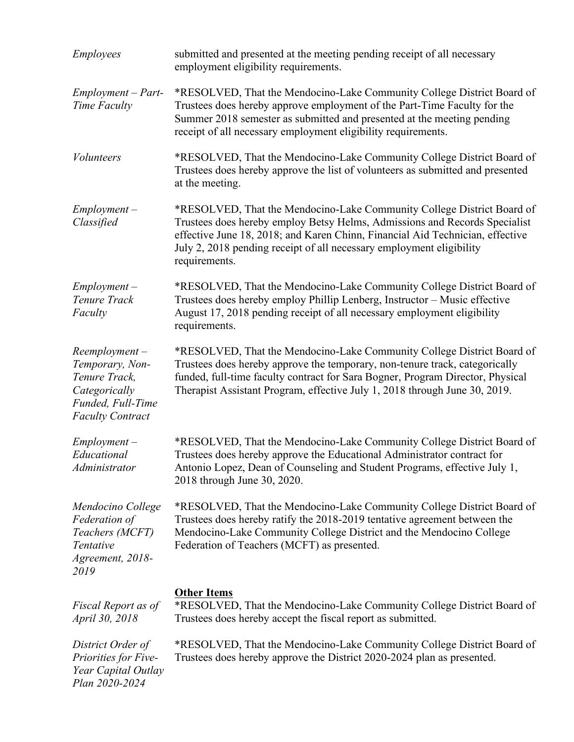| <b>Employees</b>                                                                                                      | submitted and presented at the meeting pending receipt of all necessary<br>employment eligibility requirements.                                                                                                                                                                                                                |
|-----------------------------------------------------------------------------------------------------------------------|--------------------------------------------------------------------------------------------------------------------------------------------------------------------------------------------------------------------------------------------------------------------------------------------------------------------------------|
| $Employment - Part-$<br>Time Faculty                                                                                  | *RESOLVED, That the Mendocino-Lake Community College District Board of<br>Trustees does hereby approve employment of the Part-Time Faculty for the<br>Summer 2018 semester as submitted and presented at the meeting pending<br>receipt of all necessary employment eligibility requirements.                                  |
| <i>Volunteers</i>                                                                                                     | *RESOLVED, That the Mendocino-Lake Community College District Board of<br>Trustees does hereby approve the list of volunteers as submitted and presented<br>at the meeting.                                                                                                                                                    |
| $Employment -$<br>Classified                                                                                          | *RESOLVED, That the Mendocino-Lake Community College District Board of<br>Trustees does hereby employ Betsy Helms, Admissions and Records Specialist<br>effective June 18, 2018; and Karen Chinn, Financial Aid Technician, effective<br>July 2, 2018 pending receipt of all necessary employment eligibility<br>requirements. |
| $Employment -$<br>Tenure Track<br>Faculty                                                                             | *RESOLVED, That the Mendocino-Lake Community College District Board of<br>Trustees does hereby employ Phillip Lenberg, Instructor - Music effective<br>August 17, 2018 pending receipt of all necessary employment eligibility<br>requirements.                                                                                |
| $Reemployment -$<br>Temporary, Non-<br>Tenure Track,<br>Categorically<br>Funded, Full-Time<br><b>Faculty Contract</b> | *RESOLVED, That the Mendocino-Lake Community College District Board of<br>Trustees does hereby approve the temporary, non-tenure track, categorically<br>funded, full-time faculty contract for Sara Bogner, Program Director, Physical<br>Therapist Assistant Program, effective July 1, 2018 through June 30, 2019.          |
| $Employment -$<br>Educational<br>Administrator                                                                        | *RESOLVED, That the Mendocino-Lake Community College District Board of<br>Trustees does hereby approve the Educational Administrator contract for<br>Antonio Lopez, Dean of Counseling and Student Programs, effective July 1,<br>2018 through June 30, 2020.                                                                  |
| Mendocino College<br>Federation of<br>Teachers (MCFT)<br>Tentative<br>Agreement, 2018-<br>2019                        | *RESOLVED, That the Mendocino-Lake Community College District Board of<br>Trustees does hereby ratify the 2018-2019 tentative agreement between the<br>Mendocino-Lake Community College District and the Mendocino College<br>Federation of Teachers (MCFT) as presented.                                                      |
| Fiscal Report as of<br>April 30, 2018                                                                                 | <b>Other Items</b><br>*RESOLVED, That the Mendocino-Lake Community College District Board of<br>Trustees does hereby accept the fiscal report as submitted.                                                                                                                                                                    |
| District Order of<br>Priorities for Five-<br>Year Capital Outlay<br>Plan 2020-2024                                    | *RESOLVED, That the Mendocino-Lake Community College District Board of<br>Trustees does hereby approve the District 2020-2024 plan as presented.                                                                                                                                                                               |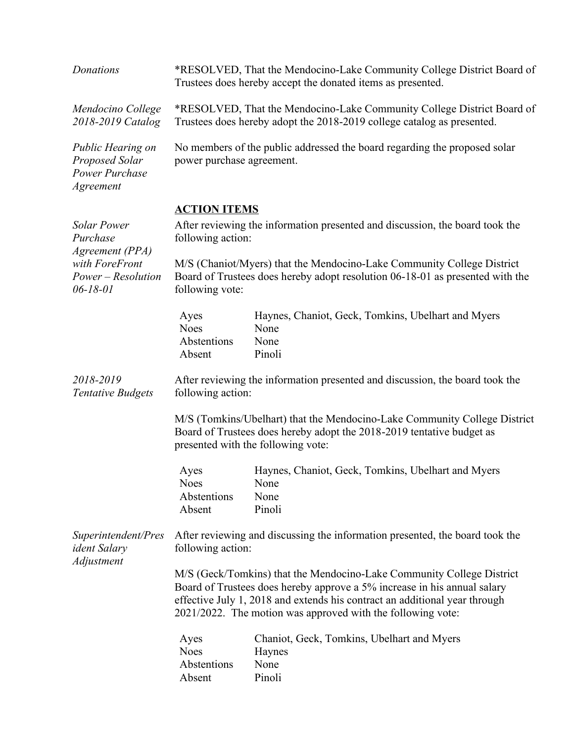| Donations                                                                                                   | *RESOLVED, That the Mendocino-Lake Community College District Board of<br>Trustees does hereby accept the donated items as presented.                                                                                                                                                          |                                                                                                                                                                                          |  |
|-------------------------------------------------------------------------------------------------------------|------------------------------------------------------------------------------------------------------------------------------------------------------------------------------------------------------------------------------------------------------------------------------------------------|------------------------------------------------------------------------------------------------------------------------------------------------------------------------------------------|--|
| Mendocino College<br>2018-2019 Catalog                                                                      | *RESOLVED, That the Mendocino-Lake Community College District Board of<br>Trustees does hereby adopt the 2018-2019 college catalog as presented.                                                                                                                                               |                                                                                                                                                                                          |  |
| Public Hearing on<br>Proposed Solar<br>Power Purchase<br>Agreement                                          | No members of the public addressed the board regarding the proposed solar<br>power purchase agreement.                                                                                                                                                                                         |                                                                                                                                                                                          |  |
|                                                                                                             | <b>ACTION ITEMS</b>                                                                                                                                                                                                                                                                            |                                                                                                                                                                                          |  |
| <b>Solar Power</b><br>Purchase<br>Agreement (PPA)<br>with ForeFront<br>Power - Resolution<br>$06 - 18 - 01$ | After reviewing the information presented and discussion, the board took the<br>following action:                                                                                                                                                                                              |                                                                                                                                                                                          |  |
|                                                                                                             | M/S (Chaniot/Myers) that the Mendocino-Lake Community College District<br>Board of Trustees does hereby adopt resolution 06-18-01 as presented with the<br>following vote:                                                                                                                     |                                                                                                                                                                                          |  |
|                                                                                                             | Ayes<br><b>Noes</b><br>Abstentions<br>Absent                                                                                                                                                                                                                                                   | Haynes, Chaniot, Geck, Tomkins, Ubelhart and Myers<br>None<br>None<br>Pinoli                                                                                                             |  |
| 2018-2019<br><b>Tentative Budgets</b>                                                                       | After reviewing the information presented and discussion, the board took the<br>following action:                                                                                                                                                                                              |                                                                                                                                                                                          |  |
|                                                                                                             |                                                                                                                                                                                                                                                                                                | M/S (Tomkins/Ubelhart) that the Mendocino-Lake Community College District<br>Board of Trustees does hereby adopt the 2018-2019 tentative budget as<br>presented with the following vote: |  |
|                                                                                                             | Ayes<br><b>Noes</b><br>Abstentions<br>Absent                                                                                                                                                                                                                                                   | Haynes, Chaniot, Geck, Tomkins, Ubelhart and Myers<br>None<br>None<br>Pinoli                                                                                                             |  |
| Superintendent/Pres<br><i>ident Salary</i><br>Adjustment                                                    | After reviewing and discussing the information presented, the board took the<br>following action:                                                                                                                                                                                              |                                                                                                                                                                                          |  |
|                                                                                                             | M/S (Geck/Tomkins) that the Mendocino-Lake Community College District<br>Board of Trustees does hereby approve a 5% increase in his annual salary<br>effective July 1, 2018 and extends his contract an additional year through<br>2021/2022. The motion was approved with the following vote: |                                                                                                                                                                                          |  |
|                                                                                                             | Ayes<br><b>Noes</b><br>Abstentions<br>Absent                                                                                                                                                                                                                                                   | Chaniot, Geck, Tomkins, Ubelhart and Myers<br>Haynes<br>None<br>Pinoli                                                                                                                   |  |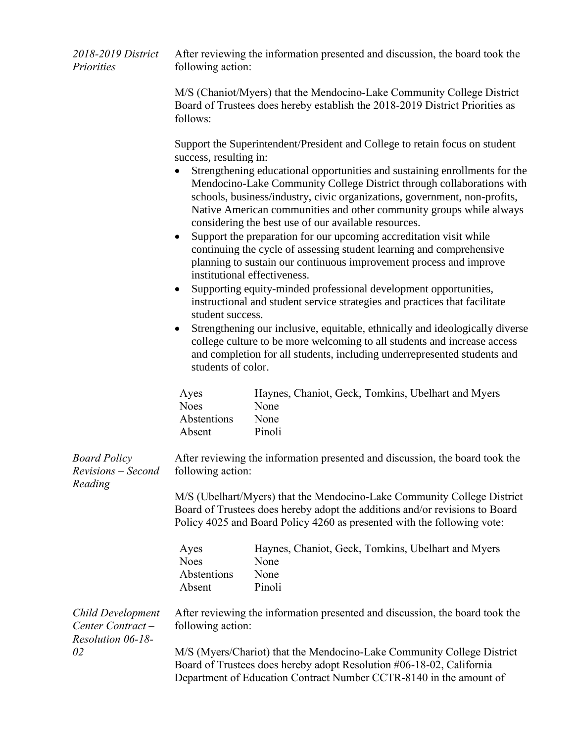| 2018-2019 District<br>Priorities                           | After reviewing the information presented and discussion, the board took the<br>following action:                                                                  |                                                                                                                                                                                                                                                                                                                                                                                                                                                                                                                                                                                                                                                                                                                                                                                                                                                                                                                                                                                                                                                              |  |  |
|------------------------------------------------------------|--------------------------------------------------------------------------------------------------------------------------------------------------------------------|--------------------------------------------------------------------------------------------------------------------------------------------------------------------------------------------------------------------------------------------------------------------------------------------------------------------------------------------------------------------------------------------------------------------------------------------------------------------------------------------------------------------------------------------------------------------------------------------------------------------------------------------------------------------------------------------------------------------------------------------------------------------------------------------------------------------------------------------------------------------------------------------------------------------------------------------------------------------------------------------------------------------------------------------------------------|--|--|
|                                                            | M/S (Chaniot/Myers) that the Mendocino-Lake Community College District<br>Board of Trustees does hereby establish the 2018-2019 District Priorities as<br>follows: |                                                                                                                                                                                                                                                                                                                                                                                                                                                                                                                                                                                                                                                                                                                                                                                                                                                                                                                                                                                                                                                              |  |  |
|                                                            | success, resulting in:<br>$\bullet$<br>institutional effectiveness.<br>$\bullet$<br>student success.<br>$\bullet$<br>students of color.                            | Support the Superintendent/President and College to retain focus on student<br>Strengthening educational opportunities and sustaining enrollments for the<br>Mendocino-Lake Community College District through collaborations with<br>schools, business/industry, civic organizations, government, non-profits,<br>Native American communities and other community groups while always<br>considering the best use of our available resources.<br>Support the preparation for our upcoming accreditation visit while<br>continuing the cycle of assessing student learning and comprehensive<br>planning to sustain our continuous improvement process and improve<br>Supporting equity-minded professional development opportunities,<br>instructional and student service strategies and practices that facilitate<br>Strengthening our inclusive, equitable, ethnically and ideologically diverse<br>college culture to be more welcoming to all students and increase access<br>and completion for all students, including underrepresented students and |  |  |
|                                                            | Ayes<br><b>Noes</b><br>Abstentions<br>Absent                                                                                                                       | Haynes, Chaniot, Geck, Tomkins, Ubelhart and Myers<br>None<br>None<br>Pinoli                                                                                                                                                                                                                                                                                                                                                                                                                                                                                                                                                                                                                                                                                                                                                                                                                                                                                                                                                                                 |  |  |
| <b>Board Policy</b><br>Revisions - Second<br>Reading       | After reviewing the information presented and discussion, the board took the<br>following action:                                                                  |                                                                                                                                                                                                                                                                                                                                                                                                                                                                                                                                                                                                                                                                                                                                                                                                                                                                                                                                                                                                                                                              |  |  |
|                                                            |                                                                                                                                                                    | M/S (Ubelhart/Myers) that the Mendocino-Lake Community College District<br>Board of Trustees does hereby adopt the additions and/or revisions to Board<br>Policy 4025 and Board Policy 4260 as presented with the following vote:                                                                                                                                                                                                                                                                                                                                                                                                                                                                                                                                                                                                                                                                                                                                                                                                                            |  |  |
|                                                            | Ayes<br><b>Noes</b><br>Abstentions<br>Absent                                                                                                                       | Haynes, Chaniot, Geck, Tomkins, Ubelhart and Myers<br>None<br>None<br>Pinoli                                                                                                                                                                                                                                                                                                                                                                                                                                                                                                                                                                                                                                                                                                                                                                                                                                                                                                                                                                                 |  |  |
| Child Development<br>Center Contract-<br>Resolution 06-18- | following action:                                                                                                                                                  | After reviewing the information presented and discussion, the board took the                                                                                                                                                                                                                                                                                                                                                                                                                                                                                                                                                                                                                                                                                                                                                                                                                                                                                                                                                                                 |  |  |
| 02                                                         |                                                                                                                                                                    | M/S (Myers/Chariot) that the Mendocino-Lake Community College District<br>Board of Trustees does hereby adopt Resolution #06-18-02, California<br>Department of Education Contract Number CCTR-8140 in the amount of                                                                                                                                                                                                                                                                                                                                                                                                                                                                                                                                                                                                                                                                                                                                                                                                                                         |  |  |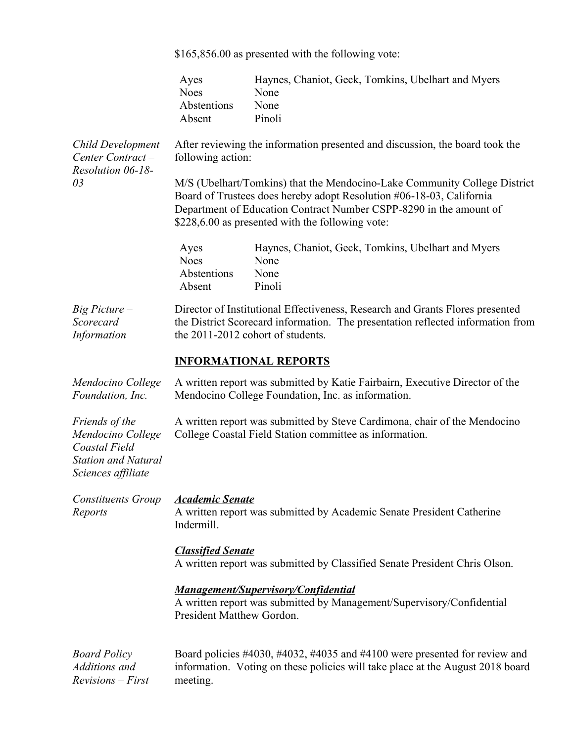\$165,856.00 as presented with the following vote:

|                                                                                                          | Ayes<br><b>Noes</b><br>Abstentions<br>Absent                                                                                                                                                          | Haynes, Chaniot, Geck, Tomkins, Ubelhart and Myers<br>None<br>None<br>Pinoli                                                                                                                                                                                                |  |  |
|----------------------------------------------------------------------------------------------------------|-------------------------------------------------------------------------------------------------------------------------------------------------------------------------------------------------------|-----------------------------------------------------------------------------------------------------------------------------------------------------------------------------------------------------------------------------------------------------------------------------|--|--|
| <b>Child Development</b><br>Center Contract-<br>Resolution 06-18-                                        | After reviewing the information presented and discussion, the board took the<br>following action:                                                                                                     |                                                                                                                                                                                                                                                                             |  |  |
| 03                                                                                                       |                                                                                                                                                                                                       | M/S (Ubelhart/Tomkins) that the Mendocino-Lake Community College District<br>Board of Trustees does hereby adopt Resolution #06-18-03, California<br>Department of Education Contract Number CSPP-8290 in the amount of<br>\$228,6.00 as presented with the following vote: |  |  |
|                                                                                                          | Ayes<br><b>Noes</b><br>Abstentions<br>Absent                                                                                                                                                          | Haynes, Chaniot, Geck, Tomkins, Ubelhart and Myers<br>None<br>None<br>Pinoli                                                                                                                                                                                                |  |  |
| Big Picture -<br>Scorecard<br>Information                                                                | Director of Institutional Effectiveness, Research and Grants Flores presented<br>the District Scorecard information. The presentation reflected information from<br>the 2011-2012 cohort of students. |                                                                                                                                                                                                                                                                             |  |  |
|                                                                                                          |                                                                                                                                                                                                       | <b>INFORMATIONAL REPORTS</b>                                                                                                                                                                                                                                                |  |  |
| Mendocino College<br>Foundation, Inc.                                                                    | A written report was submitted by Katie Fairbairn, Executive Director of the<br>Mendocino College Foundation, Inc. as information.                                                                    |                                                                                                                                                                                                                                                                             |  |  |
| Friends of the<br>Mendocino College<br>Coastal Field<br><b>Station and Natural</b><br>Sciences affiliate | A written report was submitted by Steve Cardimona, chair of the Mendocino<br>College Coastal Field Station committee as information.                                                                  |                                                                                                                                                                                                                                                                             |  |  |
| <b>Constituents Group</b><br>Reports                                                                     | <b>Academic Senate</b><br>Indermill.                                                                                                                                                                  | A written report was submitted by Academic Senate President Catherine                                                                                                                                                                                                       |  |  |
|                                                                                                          | <b>Classified Senate</b><br>A written report was submitted by Classified Senate President Chris Olson.                                                                                                |                                                                                                                                                                                                                                                                             |  |  |
|                                                                                                          | President Matthew Gordon.                                                                                                                                                                             | <b>Management/Supervisory/Confidential</b><br>A written report was submitted by Management/Supervisory/Confidential                                                                                                                                                         |  |  |
| <b>Board Policy</b><br>Additions and<br><b>Revisions</b> – First                                         | meeting.                                                                                                                                                                                              | Board policies #4030, #4032, #4035 and #4100 were presented for review and<br>information. Voting on these policies will take place at the August 2018 board                                                                                                                |  |  |